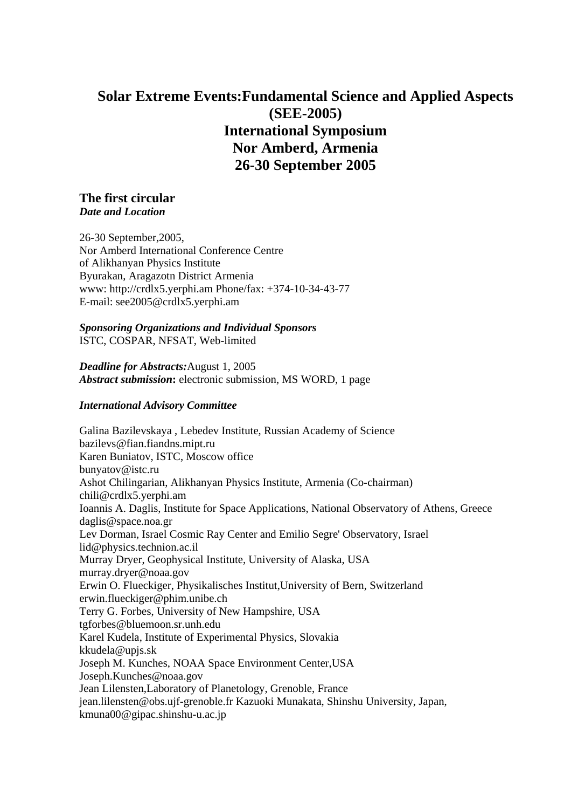# **Solar Extreme Events:Fundamental Science and Applied Aspects (SEE-2005) International Symposium Nor Amberd, Armenia 26-30 September 2005**

# **The first circular** *Date and Location*

26-30 September,2005, Nor Amberd International Conference Centre of Alikhanyan Physics Institute Byurakan, Aragazotn District Armenia www: http://crdlx5.yerphi.am Phone/fax: +374-10-34-43-77 E-mail: see2005@crdlx5.yerphi.am

#### *Sponsoring Organizations and Individual Sponsors* ISTC, COSPAR, NFSAT, Web-limited

*Deadline for Abstracts:*August 1, 2005 *Abstract submission***:** electronic submission, MS WORD, 1 page

# *International Advisory Committee*

Galina Bazilevskaya , Lebedev Institute, Russian Academy of Science bazilevs@fian.fiandns.mipt.ru Karen Buniatov, ISTC, Moscow office bunyatov@istc.ru Ashot Chilingarian, Alikhanyan Physics Institute, Armenia (Co-chairman) chili@crdlx5.yerphi.am Ioannis A. Daglis, Institute for Space Applications, National Observatory of Athens, Greece daglis@space.noa.gr Lev Dorman, Israel Cosmic Ray Center and Emilio Segre' Observatory, Israel lid@physics.technion.ac.il Murray Dryer, Geophysical Institute, University of Alaska, USA murray.dryer@noaa.gov Erwin O. Flueckiger, Physikalisches Institut,University of Bern, Switzerland erwin.flueckiger@phim.unibe.ch Terry G. Forbes, University of New Hampshire, USA tgforbes@bluemoon.sr.unh.edu Karel Kudela, Institute of Experimental Physics, Slovakia kkudela@upjs.sk Joseph M. Kunches, NOAA Space Environment Center,USA Joseph.Kunches@noaa.gov Jean Lilensten,Laboratory of Planetology, Grenoble, France jean.lilensten@obs.ujf-grenoble.fr Kazuoki Munakata, Shinshu University, Japan, kmuna00@gipac.shinshu-u.ac.jp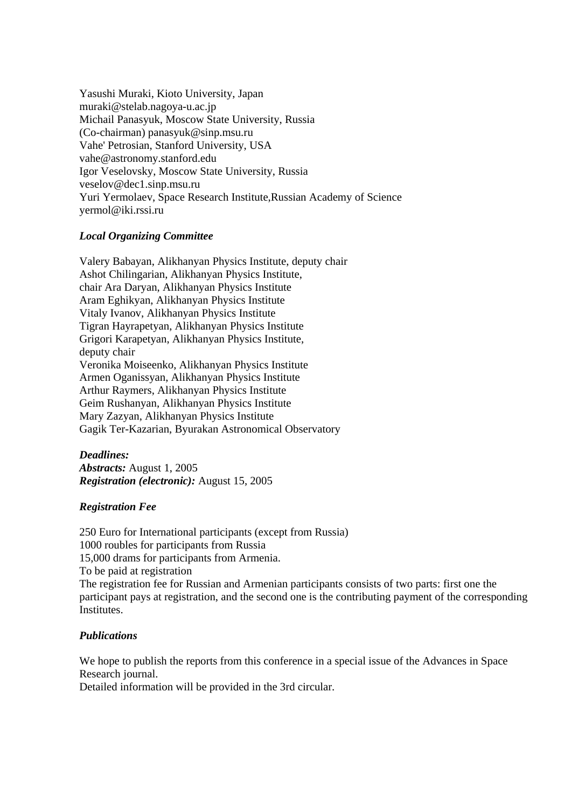Yasushi Muraki, Kioto University, Japan muraki@stelab.nagoya-u.ac.jp Michail Panasyuk, Moscow State University, Russia (Co-chairman) panasyuk@sinp.msu.ru Vahe' Petrosian, Stanford University, USA vahe@astronomy.stanford.edu Igor Veselovsky, Moscow State University, Russia veselov@dec1.sinp.msu.ru Yuri Yermolaev, Space Research Institute,Russian Academy of Science yermol@iki.rssi.ru

# *Local Organizing Committee*

Valery Babayan, Alikhanyan Physics Institute, deputy chair Ashot Chilingarian, Alikhanyan Physics Institute, chair Ara Daryan, Alikhanyan Physics Institute Aram Eghikyan, Alikhanyan Physics Institute Vitaly Ivanov, Alikhanyan Physics Institute Tigran Hayrapetyan, Alikhanyan Physics Institute Grigori Karapetyan, Alikhanyan Physics Institute, deputy chair Veronika Moiseenko, Alikhanyan Physics Institute Armen Oganissyan, Alikhanyan Physics Institute Arthur Raymers, Alikhanyan Physics Institute Geim Rushanyan, Alikhanyan Physics Institute Mary Zazyan, Alikhanyan Physics Institute Gagik Ter-Kazarian, Byurakan Astronomical Observatory

#### *Deadlines:*

*Abstracts:* August 1, 2005 *Registration (electronic):* August 15, 2005

# *Registration Fee*

250 Euro for International participants (except from Russia) 1000 roubles for participants from Russia 15,000 drams for participants from Armenia. To be paid at registration The registration fee for Russian and Armenian participants consists of two parts: first one the participant pays at registration, and the second one is the contributing payment of the corresponding Institutes.

# *Publications*

We hope to publish the reports from this conference in a special issue of the Advances in Space Research journal.

Detailed information will be provided in the 3rd circular.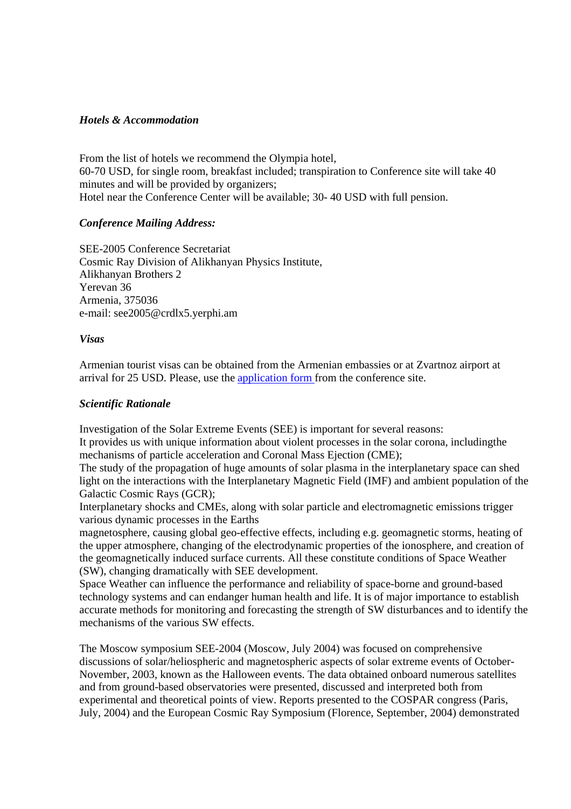#### *Hotels & Accommodation*

From the list of hotels we recommend the Olympia hotel, 60-70 USD, for single room, breakfast included; transpiration to Conference site will take 40 minutes and will be provided by organizers; Hotel near the Conference Center will be available; 30- 40 USD with full pension.

#### *Conference Mailing Address:*

SEE-2005 Conference Secretariat Cosmic Ray Division of Alikhanyan Physics Institute, Alikhanyan Brothers 2 Yerevan 36 Armenia, 375036 e-mail: see2005@crdlx5.yerphi.am

#### *Visas*

Armenian tourist visas can be obtained from the Armenian embassies or at Zvartnoz airport at arrival for 25 USD. Please, use the application form from the conference site.

### *Scientific Rationale*

Investigation of the Solar Extreme Events (SEE) is important for several reasons:

It provides us with unique information about violent processes in the solar corona, includingthe mechanisms of particle acceleration and Coronal Mass Ejection (CME);

The study of the propagation of huge amounts of solar plasma in the interplanetary space can shed light on the interactions with the Interplanetary Magnetic Field (IMF) and ambient population of the Galactic Cosmic Rays (GCR);

Interplanetary shocks and CMEs, along with solar particle and electromagnetic emissions trigger various dynamic processes in the Earths

magnetosphere, causing global geo-effective effects, including e.g. geomagnetic storms, heating of the upper atmosphere, changing of the electrodynamic properties of the ionosphere, and creation of the geomagnetically induced surface currents. All these constitute conditions of Space Weather (SW), changing dramatically with SEE development.

Space Weather can influence the performance and reliability of space-borne and ground-based technology systems and can endanger human health and life. It is of major importance to establish accurate methods for monitoring and forecasting the strength of SW disturbances and to identify the mechanisms of the various SW effects.

The Moscow symposium SEE-2004 (Moscow, July 2004) was focused on comprehensive discussions of solar/heliospheric and magnetospheric aspects of solar extreme events of October-November, 2003, known as the Halloween events. The data obtained onboard numerous satellites and from ground-based observatories were presented, discussed and interpreted both from experimental and theoretical points of view. Reports presented to the COSPAR congress (Paris, July, 2004) and the European Cosmic Ray Symposium (Florence, September, 2004) demonstrated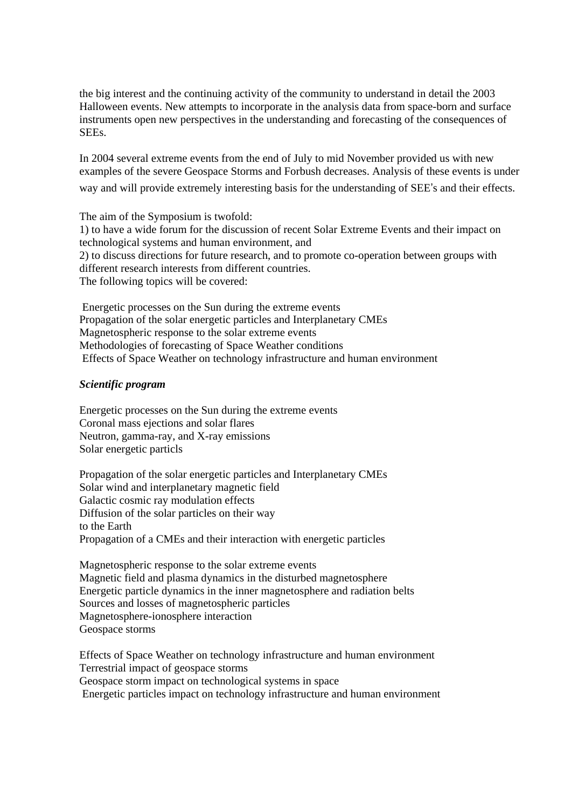the big interest and the continuing activity of the community to understand in detail the 2003 Halloween events. New attempts to incorporate in the analysis data from space-born and surface instruments open new perspectives in the understanding and forecasting of the consequences of SEEs.

In 2004 several extreme events from the end of July to mid November provided us with new examples of the severe Geospace Storms and Forbush decreases. Analysis of these events is under way and will provide extremely interesting basis for the understanding of SEE's and their effects.

The aim of the Symposium is twofold: 1) to have a wide forum for the discussion of recent Solar Extreme Events and their impact on technological systems and human environment, and 2) to discuss directions for future research, and to promote co-operation between groups with different research interests from different countries. The following topics will be covered:

 Energetic processes on the Sun during the extreme events Propagation of the solar energetic particles and Interplanetary CMEs Magnetospheric response to the solar extreme events Methodologies of forecasting of Space Weather conditions Effects of Space Weather on technology infrastructure and human environment

### *Scientific program*

Energetic processes on the Sun during the extreme events Coronal mass ejections and solar flares Neutron, gamma-ray, and X-ray emissions Solar energetic particls

Propagation of the solar energetic particles and Interplanetary CMEs Solar wind and interplanetary magnetic field Galactic cosmic ray modulation effects Diffusion of the solar particles on their way to the Earth Propagation of a CMEs and their interaction with energetic particles

Magnetospheric response to the solar extreme events Magnetic field and plasma dynamics in the disturbed magnetosphere Energetic particle dynamics in the inner magnetosphere and radiation belts Sources and losses of magnetospheric particles Magnetosphere-ionosphere interaction Geospace storms

Effects of Space Weather on technology infrastructure and human environment Terrestrial impact of geospace storms Geospace storm impact on technological systems in space Energetic particles impact on technology infrastructure and human environment